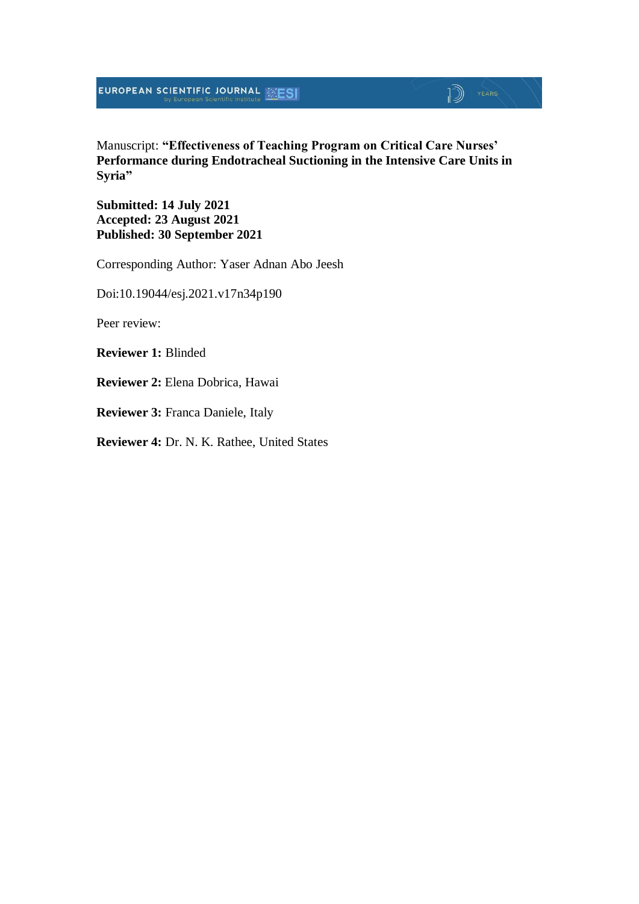Manuscript: **"Effectiveness of Teaching Program on Critical Care Nurses' Performance during Endotracheal Suctioning in the Intensive Care Units in Syria"**

**Submitted: 14 July 2021 Accepted: 23 August 2021 Published: 30 September 2021**

Corresponding Author: Yaser Adnan Abo Jeesh

Doi:10.19044/esj.2021.v17n34p190

Peer review:

**Reviewer 1:** Blinded

**Reviewer 2:** Elena Dobrica, Hawai

**Reviewer 3:** Franca Daniele, Italy

**Reviewer 4:** Dr. N. K. Rathee, United States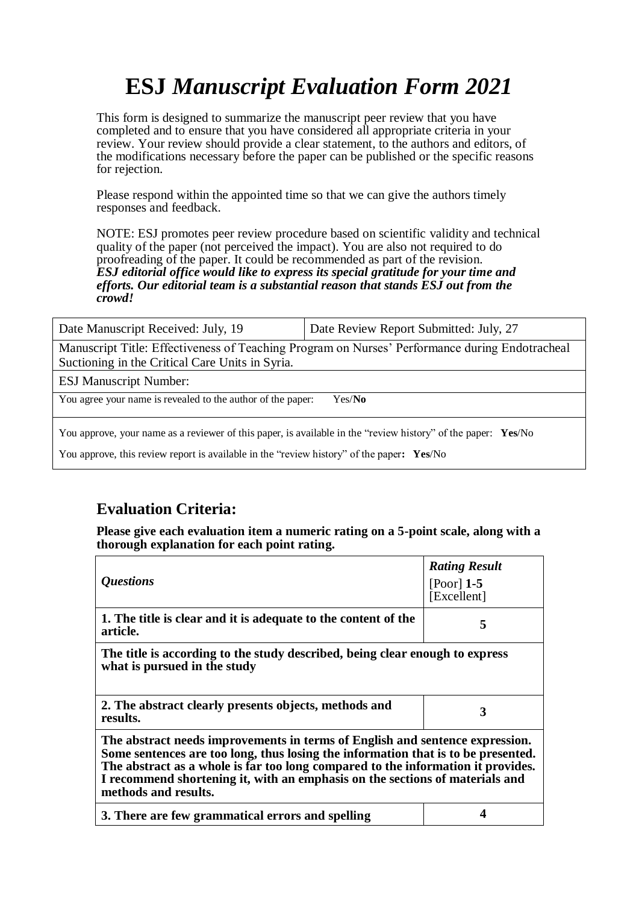# **ESJ** *Manuscript Evaluation Form 2021*

This form is designed to summarize the manuscript peer review that you have completed and to ensure that you have considered all appropriate criteria in your review. Your review should provide a clear statement, to the authors and editors, of the modifications necessary before the paper can be published or the specific reasons for rejection.

Please respond within the appointed time so that we can give the authors timely responses and feedback.

NOTE: ESJ promotes peer review procedure based on scientific validity and technical quality of the paper (not perceived the impact). You are also not required to do proofreading of the paper. It could be recommended as part of the revision. *ESJ editorial office would like to express its special gratitude for your time and efforts. Our editorial team is a substantial reason that stands ESJ out from the crowd!* 

| Date Manuscript Received: July, 19                                                                                                                                                                         | Date Review Report Submitted: July, 27 |  |
|------------------------------------------------------------------------------------------------------------------------------------------------------------------------------------------------------------|----------------------------------------|--|
| Manuscript Title: Effectiveness of Teaching Program on Nurses' Performance during Endotracheal<br>Suctioning in the Critical Care Units in Syria.                                                          |                                        |  |
| <b>ESJ Manuscript Number:</b>                                                                                                                                                                              |                                        |  |
| You agree your name is revealed to the author of the paper:                                                                                                                                                | Yes/No                                 |  |
| You approve, your name as a reviewer of this paper, is available in the "review history" of the paper: Yes/No<br>You approve, this review report is available in the "review history" of the paper: Yes/No |                                        |  |

### **Evaluation Criteria:**

**Please give each evaluation item a numeric rating on a 5-point scale, along with a thorough explanation for each point rating.**

| <i><b>Questions</b></i>                                                                                                                                                                                                                                                                                                                                       | <b>Rating Result</b><br>[Poor] $1-5$<br>[Excellent] |  |
|---------------------------------------------------------------------------------------------------------------------------------------------------------------------------------------------------------------------------------------------------------------------------------------------------------------------------------------------------------------|-----------------------------------------------------|--|
| 1. The title is clear and it is adequate to the content of the<br>article.                                                                                                                                                                                                                                                                                    | 5                                                   |  |
| The title is according to the study described, being clear enough to express<br>what is pursued in the study                                                                                                                                                                                                                                                  |                                                     |  |
| 2. The abstract clearly presents objects, methods and<br>results.                                                                                                                                                                                                                                                                                             | 3                                                   |  |
| The abstract needs improvements in terms of English and sentence expression.<br>Some sentences are too long, thus losing the information that is to be presented.<br>The abstract as a whole is far too long compared to the information it provides.<br>I recommend shortening it, with an emphasis on the sections of materials and<br>methods and results. |                                                     |  |
| 3. There are few grammatical errors and spelling                                                                                                                                                                                                                                                                                                              |                                                     |  |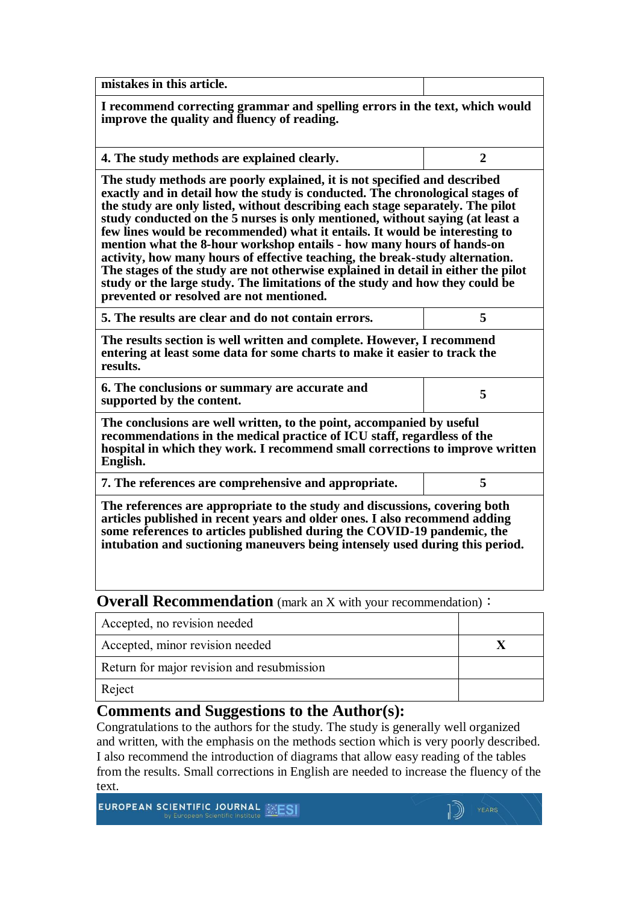| mistakes in this article.                                                                                                                                                                                                                                                                                                                                                                                                                                                                                                                                                                                                                                                                                                                                                              |                |  |
|----------------------------------------------------------------------------------------------------------------------------------------------------------------------------------------------------------------------------------------------------------------------------------------------------------------------------------------------------------------------------------------------------------------------------------------------------------------------------------------------------------------------------------------------------------------------------------------------------------------------------------------------------------------------------------------------------------------------------------------------------------------------------------------|----------------|--|
| I recommend correcting grammar and spelling errors in the text, which would<br>improve the quality and fluency of reading.                                                                                                                                                                                                                                                                                                                                                                                                                                                                                                                                                                                                                                                             |                |  |
| 4. The study methods are explained clearly.                                                                                                                                                                                                                                                                                                                                                                                                                                                                                                                                                                                                                                                                                                                                            | $\overline{2}$ |  |
| The study methods are poorly explained, it is not specified and described<br>exactly and in detail how the study is conducted. The chronological stages of<br>the study are only listed, without describing each stage separately. The pilot<br>study conducted on the 5 nurses is only mentioned, without saying (at least a<br>few lines would be recommended) what it entails. It would be interesting to<br>mention what the 8-hour workshop entails - how many hours of hands-on<br>activity, how many hours of effective teaching, the break-study alternation.<br>The stages of the study are not otherwise explained in detail in either the pilot<br>study or the large study. The limitations of the study and how they could be<br>prevented or resolved are not mentioned. |                |  |
| 5. The results are clear and do not contain errors.                                                                                                                                                                                                                                                                                                                                                                                                                                                                                                                                                                                                                                                                                                                                    | 5              |  |
| The results section is well written and complete. However, I recommend<br>entering at least some data for some charts to make it easier to track the<br>results.                                                                                                                                                                                                                                                                                                                                                                                                                                                                                                                                                                                                                       |                |  |
| 6. The conclusions or summary are accurate and<br>supported by the content.                                                                                                                                                                                                                                                                                                                                                                                                                                                                                                                                                                                                                                                                                                            | 5              |  |
| The conclusions are well written, to the point, accompanied by useful<br>recommendations in the medical practice of ICU staff, regardless of the<br>hospital in which they work. I recommend small corrections to improve written<br>English.                                                                                                                                                                                                                                                                                                                                                                                                                                                                                                                                          |                |  |
| 7. The references are comprehensive and appropriate.                                                                                                                                                                                                                                                                                                                                                                                                                                                                                                                                                                                                                                                                                                                                   | 5              |  |
| The references are appropriate to the study and discussions, covering both<br>articles published in recent years and older ones. I also recommend adding<br>some references to articles published during the COVID-19 pandemic, the<br>intubation and suctioning maneuvers being intensely used during this period.                                                                                                                                                                                                                                                                                                                                                                                                                                                                    |                |  |

**Overall Recommendation** (mark an X with your recommendation):

| Accepted, no revision needed               |  |
|--------------------------------------------|--|
| Accepted, minor revision needed            |  |
| Return for major revision and resubmission |  |
| Reject                                     |  |

### **Comments and Suggestions to the Author(s):**

Congratulations to the authors for the study. The study is generally well organized and written, with the emphasis on the methods section which is very poorly described. I also recommend the introduction of diagrams that allow easy reading of the tables from the results. Small corrections in English are needed to increase the fluency of the text.

EUROPEAN SCIENTIFIC JOURNAL **EXESI**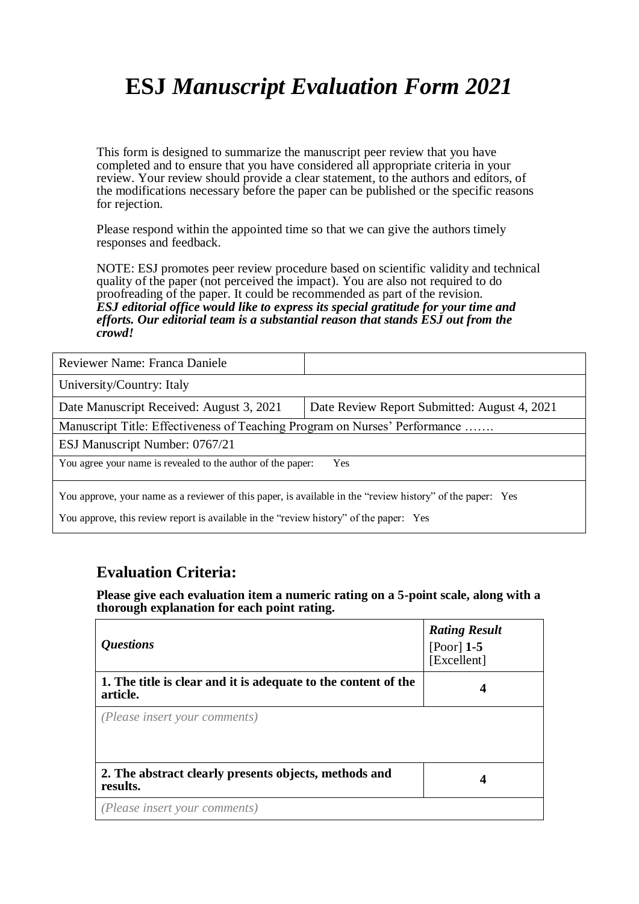# **ESJ** *Manuscript Evaluation Form 2021*

This form is designed to summarize the manuscript peer review that you have completed and to ensure that you have considered all appropriate criteria in your review. Your review should provide a clear statement, to the authors and editors, of the modifications necessary before the paper can be published or the specific reasons for rejection.

Please respond within the appointed time so that we can give the authors timely responses and feedback.

NOTE: ESJ promotes peer review procedure based on scientific validity and technical quality of the paper (not perceived the impact). You are also not required to do proofreading of the paper. It could be recommended as part of the revision. *ESJ editorial office would like to express its special gratitude for your time and efforts. Our editorial team is a substantial reason that stands ESJ out from the crowd!* 

| Reviewer Name: Franca Daniele                                                                              |                                              |  |
|------------------------------------------------------------------------------------------------------------|----------------------------------------------|--|
| University/Country: Italy                                                                                  |                                              |  |
| Date Manuscript Received: August 3, 2021                                                                   | Date Review Report Submitted: August 4, 2021 |  |
| Manuscript Title: Effectiveness of Teaching Program on Nurses' Performance                                 |                                              |  |
| ESJ Manuscript Number: 0767/21                                                                             |                                              |  |
| You agree your name is revealed to the author of the paper:<br>Yes                                         |                                              |  |
| You approve, your name as a reviewer of this paper, is available in the "review history" of the paper: Yes |                                              |  |

You approve, this review report is available in the "review history" of the paper: Yes

### **Evaluation Criteria:**

**Please give each evaluation item a numeric rating on a 5-point scale, along with a thorough explanation for each point rating.**

| <i><b>Questions</b></i>                                                    | <b>Rating Result</b><br>[Poor] $1-5$<br>[Excellent] |
|----------------------------------------------------------------------------|-----------------------------------------------------|
| 1. The title is clear and it is adequate to the content of the<br>article. | 4                                                   |
| (Please insert your comments)                                              |                                                     |
| 2. The abstract clearly presents objects, methods and<br>results.          | 4                                                   |
| (Please insert your comments)                                              |                                                     |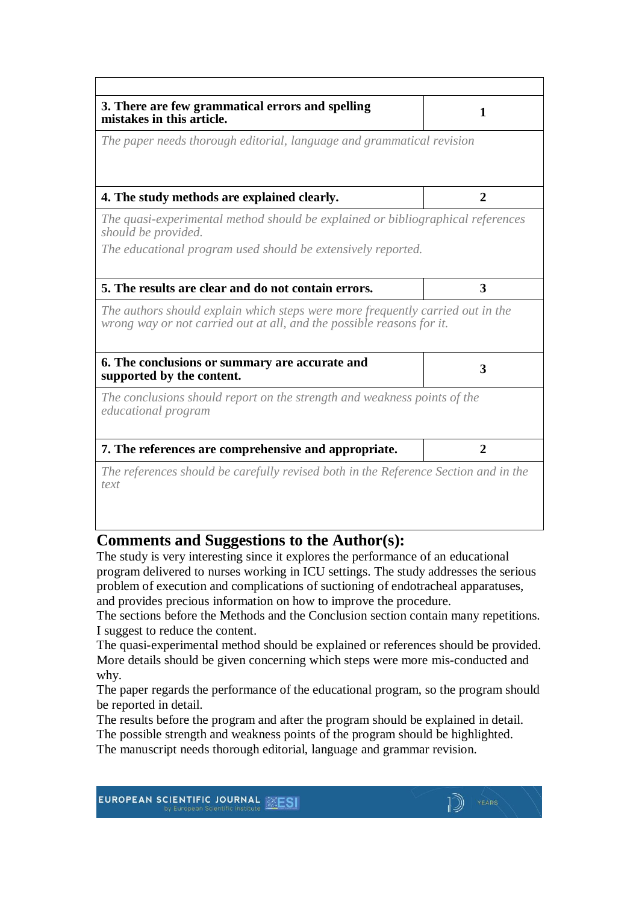| 3. There are few grammatical errors and spelling<br>mistakes in this article.                                                                           | 1              |
|---------------------------------------------------------------------------------------------------------------------------------------------------------|----------------|
| The paper needs thorough editorial, language and grammatical revision                                                                                   |                |
| 4. The study methods are explained clearly.                                                                                                             | $\mathbf{2}$   |
| The quasi-experimental method should be explained or bibliographical references<br>should be provided.                                                  |                |
| The educational program used should be extensively reported.                                                                                            |                |
| 5. The results are clear and do not contain errors.                                                                                                     | 3              |
| The authors should explain which steps were more frequently carried out in the<br>wrong way or not carried out at all, and the possible reasons for it. |                |
| 6. The conclusions or summary are accurate and<br>supported by the content.                                                                             | 3              |
| The conclusions should report on the strength and weakness points of the<br><i>educational program</i>                                                  |                |
| 7. The references are comprehensive and appropriate.                                                                                                    | $\overline{2}$ |
| The references should be carefully revised both in the Reference Section and in the<br>text                                                             |                |

#### **Comments and Suggestions to the Author(s):**

The study is very interesting since it explores the performance of an educational program delivered to nurses working in ICU settings. The study addresses the serious problem of execution and complications of suctioning of endotracheal apparatuses, and provides precious information on how to improve the procedure.

The sections before the Methods and the Conclusion section contain many repetitions. I suggest to reduce the content.

The quasi-experimental method should be explained or references should be provided. More details should be given concerning which steps were more mis-conducted and why.

The paper regards the performance of the educational program, so the program should be reported in detail.

The results before the program and after the program should be explained in detail. The possible strength and weakness points of the program should be highlighted.

The manuscript needs thorough editorial, language and grammar revision.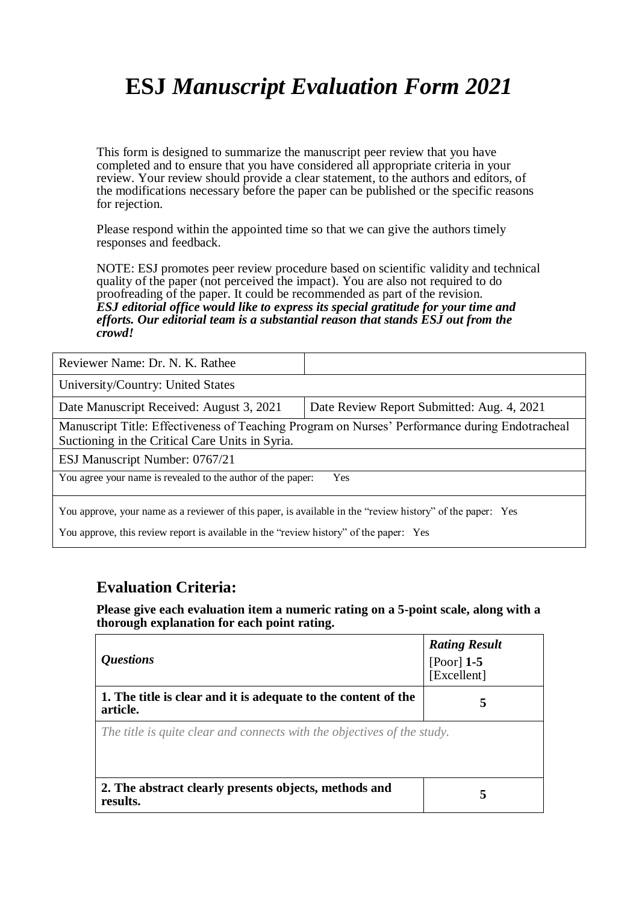# **ESJ** *Manuscript Evaluation Form 2021*

This form is designed to summarize the manuscript peer review that you have completed and to ensure that you have considered all appropriate criteria in your review. Your review should provide a clear statement, to the authors and editors, of the modifications necessary before the paper can be published or the specific reasons for rejection.

Please respond within the appointed time so that we can give the authors timely responses and feedback.

NOTE: ESJ promotes peer review procedure based on scientific validity and technical quality of the paper (not perceived the impact). You are also not required to do proofreading of the paper. It could be recommended as part of the revision. *ESJ editorial office would like to express its special gratitude for your time and efforts. Our editorial team is a substantial reason that stands ESJ out from the crowd!* 

| Reviewer Name: Dr. N. K. Rathee                                                                                                                                                                      |                                            |  |
|------------------------------------------------------------------------------------------------------------------------------------------------------------------------------------------------------|--------------------------------------------|--|
| University/Country: United States                                                                                                                                                                    |                                            |  |
| Date Manuscript Received: August 3, 2021                                                                                                                                                             | Date Review Report Submitted: Aug. 4, 2021 |  |
| Manuscript Title: Effectiveness of Teaching Program on Nurses' Performance during Endotracheal<br>Suctioning in the Critical Care Units in Syria.                                                    |                                            |  |
| ESJ Manuscript Number: 0767/21                                                                                                                                                                       |                                            |  |
| You agree your name is revealed to the author of the paper:<br>Yes                                                                                                                                   |                                            |  |
| You approve, your name as a reviewer of this paper, is available in the "review history" of the paper: Yes<br>You approve, this review report is available in the "review history" of the paper: Yes |                                            |  |

#### **Evaluation Criteria:**

**Please give each evaluation item a numeric rating on a 5-point scale, along with a thorough explanation for each point rating.**

| <i><b>Ouestions</b></i>                                                    | <b>Rating Result</b><br>[Poor] $1-5$<br>[Excellent] |  |
|----------------------------------------------------------------------------|-----------------------------------------------------|--|
| 1. The title is clear and it is adequate to the content of the<br>article. | 5                                                   |  |
| The title is quite clear and connects with the objectives of the study.    |                                                     |  |
| 2. The abstract clearly presents objects, methods and<br>results.          | 5                                                   |  |